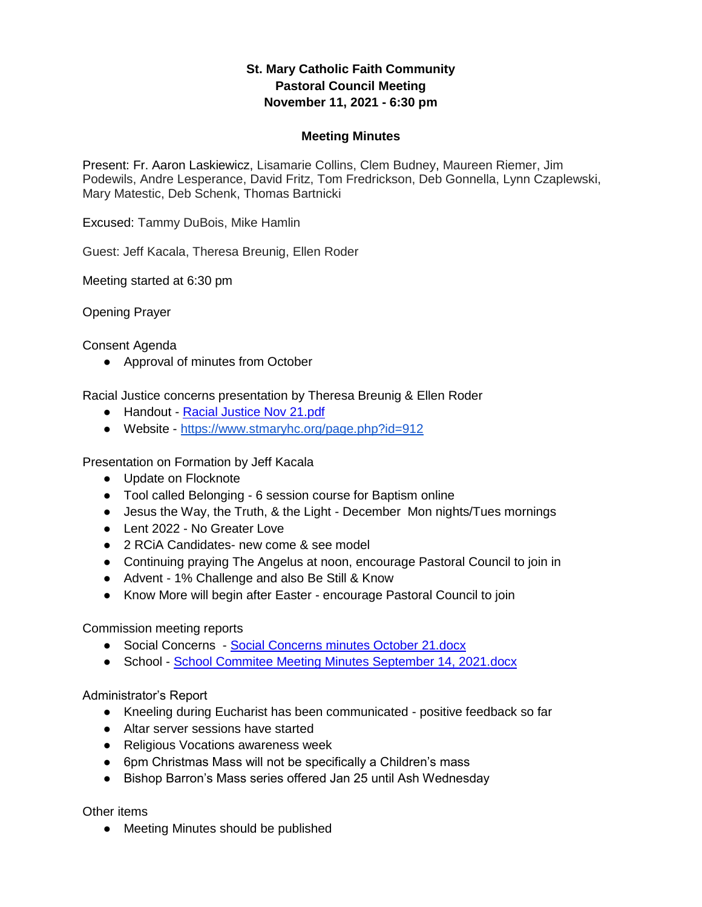## **St. Mary Catholic Faith Community Pastoral Council Meeting November 11, 2021 - 6:30 pm**

## **Meeting Minutes**

Present: Fr. Aaron Laskiewicz, Lisamarie Collins, Clem Budney, Maureen Riemer, Jim Podewils, Andre Lesperance, David Fritz, Tom Fredrickson, Deb Gonnella, Lynn Czaplewski, Mary Matestic, Deb Schenk, Thomas Bartnicki

Excused: Tammy DuBois, Mike Hamlin

Guest: Jeff Kacala, Theresa Breunig, Ellen Roder

Meeting started at 6:30 pm

Opening Prayer

Consent Agenda

● Approval of minutes from October

Racial Justice concerns presentation by Theresa Breunig & Ellen Roder

- Handout [Racial Justice Nov 21.pdf](https://drive.google.com/file/d/1qgRXK0hW_WEf371lUZEIo51CwdsvJBZt/view?usp=sharing)
- Website <https://www.stmaryhc.org/page.php?id=912>

Presentation on Formation by Jeff Kacala

- Update on Flocknote
- Tool called Belonging 6 session course for Baptism online
- Jesus the Way, the Truth, & the Light December Mon nights/Tues mornings
- Lent 2022 No Greater Love
- 2 RCiA Candidates- new come & see model
- Continuing praying The Angelus at noon, encourage Pastoral Council to join in
- Advent 1% Challenge and also Be Still & Know
- Know More will begin after Easter encourage Pastoral Council to join

Commission meeting reports

- Social Concerns [Social Concerns minutes October 21.docx](https://docs.google.com/document/d/11_NYn4rfNkZaklSn7ArGWz0dM7GVGX6W/edit?usp=sharing&ouid=101062603316395594027&rtpof=true&sd=true)
- School [School Commitee Meeting Minutes September 14, 2021.docx](https://docs.google.com/document/d/1DFN8aH2svbctkNmEpQ6ZQw42vS40BbeK/edit?usp=sharing&ouid=101062603316395594027&rtpof=true&sd=true)

Administrator's Report

- Kneeling during Eucharist has been communicated positive feedback so far
- Altar server sessions have started
- Religious Vocations awareness week
- 6pm Christmas Mass will not be specifically a Children's mass
- Bishop Barron's Mass series offered Jan 25 until Ash Wednesday

Other items

● Meeting Minutes should be published